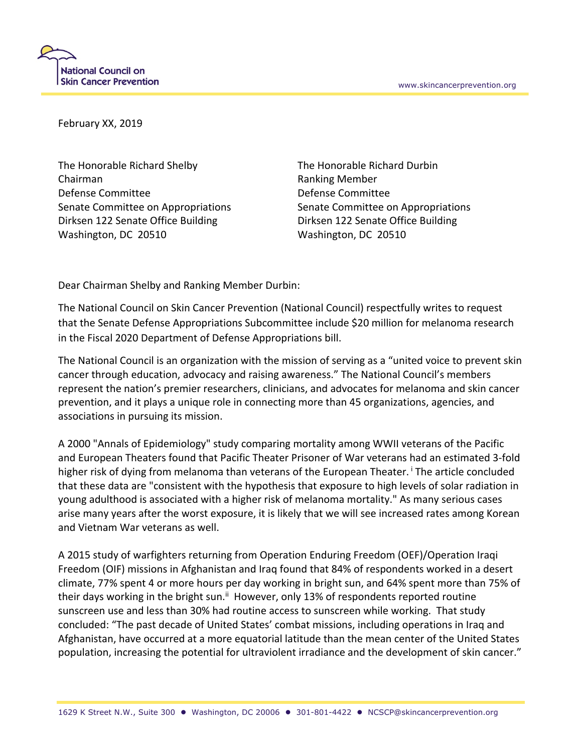

February XX, 2019

The Honorable Richard Shelby The Honorable Richard Durbin Chairman **Ranking Member** Ranking Member Defense Committee Defense Committee Senate Committee on Appropriations Senate Committee on Appropriations Dirksen 122 Senate Office Building Dirksen 122 Senate Office Building Washington, DC 20510 Washington, DC 20510

Dear Chairman Shelby and Ranking Member Durbin:

The National Council on Skin Cancer Prevention (National Council) respectfully writes to request that the Senate Defense Appropriations Subcommittee include \$20 million for melanoma research in the Fiscal 2020 Department of Defense Appropriations bill.

The National Council is an organization with the mission of serving as a "united voice to prevent skin cancer through education, advocacy and raising awareness." The National Council's members represent the nation's premier researchers, clinicians, and advocates for melanoma and skin cancer prevention, and it plays a unique role in connecting more than 45 organizations, agencies, and associations in pursuing its mission.

A 2000 "Annals of Epidemiology" study comparing mortality among WWII veterans of the Pacific and European Theaters found that Pacific Theater Prisoner of War veterans had an estimated 3-fold higher risk of dying from melanoma than veterans of the European Theater. The article concluded that these data are "consistent with the hypothesis that exposure to high levels of solar radiation in young adulthood is associated with a higher risk of melanoma mortality." As many serious cases arise many years after the worst exposure, it is likely that we will see increased rates among Korean and Vietnam War veterans as well.

A 2015 study of warfighters returning from Operation Enduring Freedom (OEF)/Operation Iraqi Freedom (OIF) missions in Afghanistan and Iraq found that 84% of respondents worked in a desert climate, 77% spent 4 or more hours per day working in bright sun, and 64% spent more than 75% of their days working in the bright sun.<sup>ii</sup> However, only 13% of respondents reported routine sunscreen use and less than 30% had routine access to sunscreen while working. That study concluded: "The past decade of United States' combat missions, including operations in Iraq and Afghanistan, have occurred at a more equatorial latitude than the mean center of the United States population, increasing the potential for ultraviolent irradiance and the development of skin cancer."